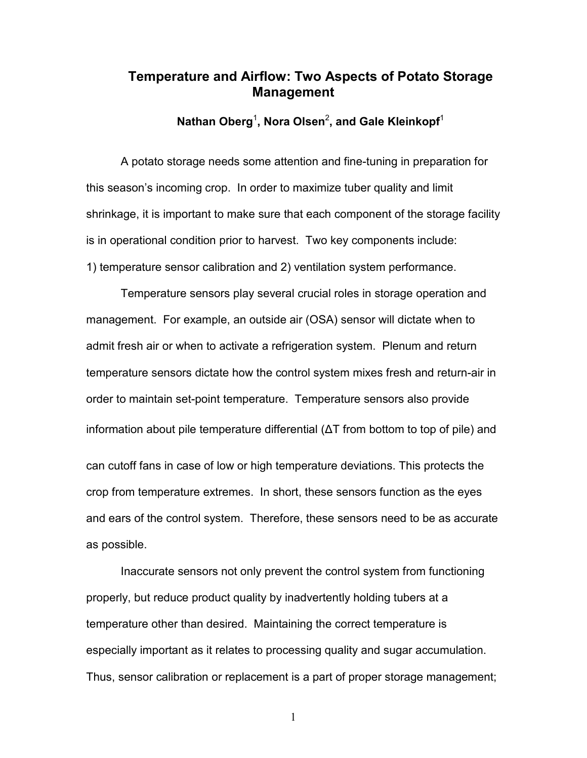## **Temperature and Airflow: Two Aspects of Potato Storage Management**

**Nathan Oberg**<sup>1</sup> **, Nora Olsen**<sup>2</sup> **, and Gale Kleinkopf**<sup>1</sup>

A potato storage needs some attention and fine-tuning in preparation for this season's incoming crop. In order to maximize tuber quality and limit shrinkage, it is important to make sure that each component of the storage facility is in operational condition prior to harvest. Two key components include: 1) temperature sensor calibration and 2) ventilation system performance.

Temperature sensors play several crucial roles in storage operation and management. For example, an outside air (OSA) sensor will dictate when to admit fresh air or when to activate a refrigeration system. Plenum and return temperature sensors dictate how the control system mixes fresh and return-air in order to maintain set-point temperature. Temperature sensors also provide information about pile temperature differential (ΔT from bottom to top of pile) and can cutoff fans in case of low or high temperature deviations. This protects the crop from temperature extremes. In short, these sensors function as the eyes and ears of the control system. Therefore, these sensors need to be as accurate as possible.

Inaccurate sensors not only prevent the control system from functioning properly, but reduce product quality by inadvertently holding tubers at a temperature other than desired. Maintaining the correct temperature is especially important as it relates to processing quality and sugar accumulation. Thus, sensor calibration or replacement is a part of proper storage management;

1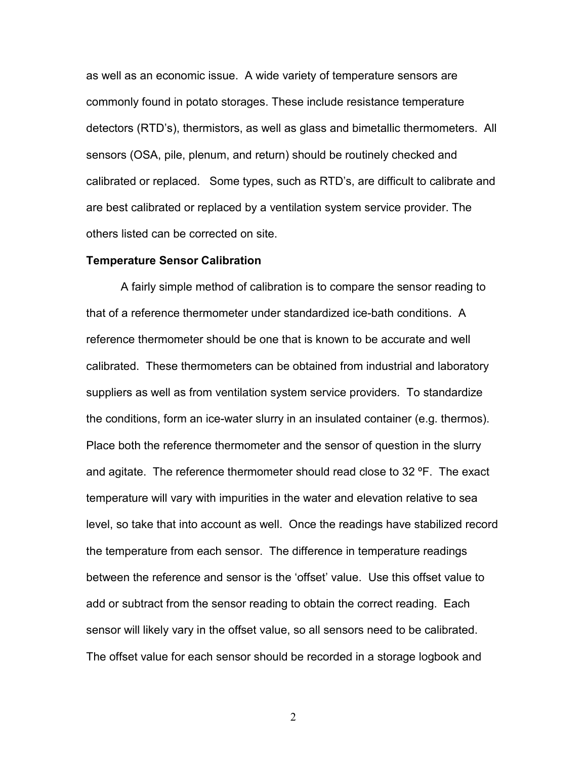as well as an economic issue. A wide variety of temperature sensors are commonly found in potato storages. These include resistance temperature detectors (RTD's), thermistors, as well as glass and bimetallic thermometers. All sensors (OSA, pile, plenum, and return) should be routinely checked and calibrated or replaced. Some types, such as RTD's, are difficult to calibrate and are best calibrated or replaced by a ventilation system service provider. The others listed can be corrected on site.

## **Temperature Sensor Calibration**

A fairly simple method of calibration is to compare the sensor reading to that of a reference thermometer under standardized ice-bath conditions. A reference thermometer should be one that is known to be accurate and well calibrated. These thermometers can be obtained from industrial and laboratory suppliers as well as from ventilation system service providers. To standardize the conditions, form an ice-water slurry in an insulated container (e.g. thermos). Place both the reference thermometer and the sensor of question in the slurry and agitate. The reference thermometer should read close to 32 ºF. The exact temperature will vary with impurities in the water and elevation relative to sea level, so take that into account as well. Once the readings have stabilized record the temperature from each sensor. The difference in temperature readings between the reference and sensor is the 'offset' value. Use this offset value to add or subtract from the sensor reading to obtain the correct reading. Each sensor will likely vary in the offset value, so all sensors need to be calibrated. The offset value for each sensor should be recorded in a storage logbook and

2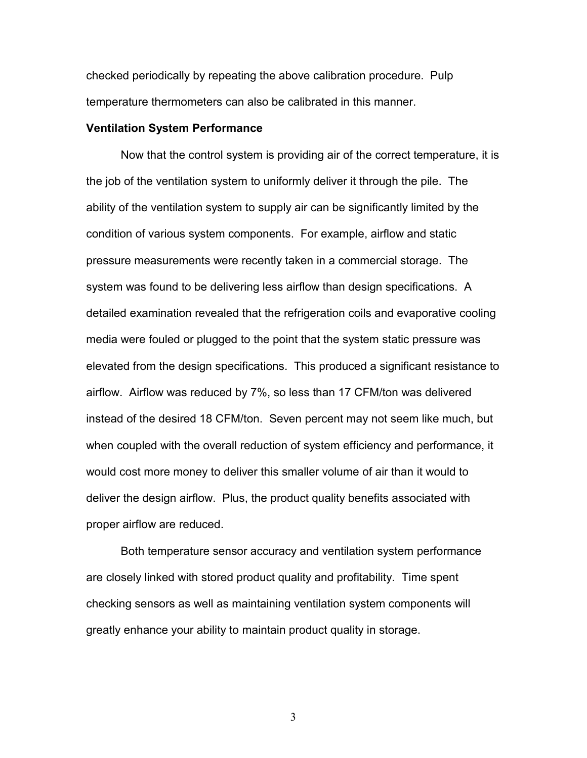checked periodically by repeating the above calibration procedure. Pulp temperature thermometers can also be calibrated in this manner.

## **Ventilation System Performance**

Now that the control system is providing air of the correct temperature, it is the job of the ventilation system to uniformly deliver it through the pile. The ability of the ventilation system to supply air can be significantly limited by the condition of various system components. For example, airflow and static pressure measurements were recently taken in a commercial storage. The system was found to be delivering less airflow than design specifications. A detailed examination revealed that the refrigeration coils and evaporative cooling media were fouled or plugged to the point that the system static pressure was elevated from the design specifications. This produced a significant resistance to airflow. Airflow was reduced by 7%, so less than 17 CFM/ton was delivered instead of the desired 18 CFM/ton. Seven percent may not seem like much, but when coupled with the overall reduction of system efficiency and performance, it would cost more money to deliver this smaller volume of air than it would to deliver the design airflow. Plus, the product quality benefits associated with proper airflow are reduced.

Both temperature sensor accuracy and ventilation system performance are closely linked with stored product quality and profitability. Time spent checking sensors as well as maintaining ventilation system components will greatly enhance your ability to maintain product quality in storage.

3